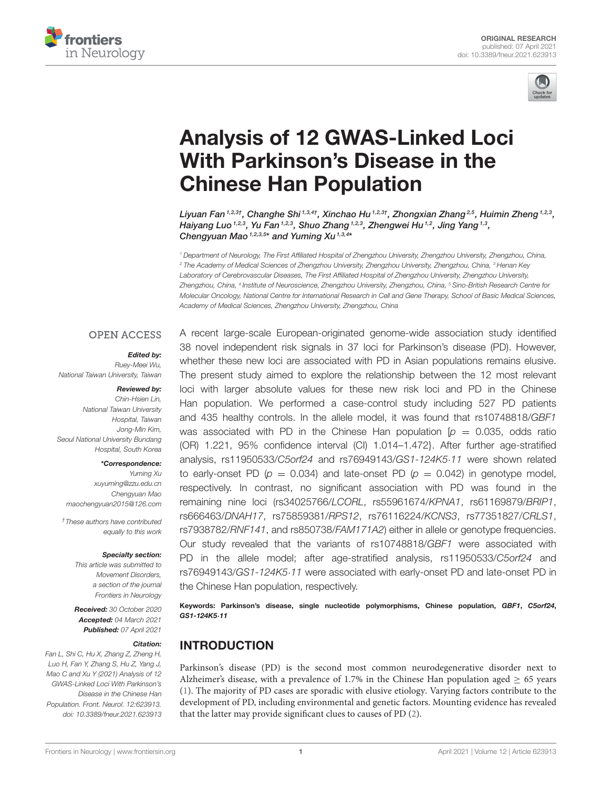



# [Analysis of 12 GWAS-Linked Loci](https://www.frontiersin.org/articles/10.3389/fneur.2021.623913/full) With Parkinson's Disease in the Chinese Han Population

Liyuan Fan $^{1,2,3\dagger}$ , Changhe Shi $^{1,3,4\dagger}$ , Xinchao Hu $^{1,2,3\dagger}$ , Zhongxian Zhang $^{2,5}$ , Huimin Zheng $^{1,2,3}$ , Haiyang Luo 1,2,3, Yu Fan 1,2,3, Shuo Zhang 1,2,3, Zhengwei Hu <sup>1,2</sup>, Jing Yang <sup>1,3</sup>, Chengyuan Mao<sup>1,2,3,5\*</sup> and Yuming Xu<sup>1,3,4\*</sup>

*<sup>1</sup> Department of Neurology, The First Affiliated Hospital of Zhengzhou University, Zhengzhou University, Zhengzhou, China, <sup>2</sup> The Academy of Medical Sciences of Zhengzhou University, Zhengzhou University, Zhengzhou, China, <sup>3</sup> Henan Key Laboratory of Cerebrovascular Diseases, The First Affiliated Hospital of Zhengzhou University, Zhengzhou University, Zhengzhou, China, <sup>4</sup> Institute of Neuroscience, Zhengzhou University, Zhengzhou, China, <sup>5</sup> Sino-British Research Centre for Molecular Oncology, National Centre for International Research in Cell and Gene Therapy, School of Basic Medical Sciences, Academy of Medical Sciences, Zhengzhou University, Zhengzhou, China*

#### **OPEN ACCESS**

#### Edited by:

*Ruey-Meei Wu, National Taiwan University, Taiwan*

#### Reviewed by:

*Chin-Hsien Lin, National Taiwan University Hospital, Taiwan Jong-Min Kim, Seoul National University Bundang Hospital, South Korea*

#### \*Correspondence:

*Yuming Xu [xuyuming@zzu.edu.cn](mailto:xuyuming@zzu.edu.cn) Chengyuan Mao [maochengyuan2015@126.com](mailto:maochengyuan2015@126.com)*

*†These authors have contributed equally to this work*

#### Specialty section:

*This article was submitted to Movement Disorders, a section of the journal Frontiers in Neurology*

Received: *30 October 2020* Accepted: *04 March 2021* Published: *07 April 2021*

#### Citation:

*Fan L, Shi C, Hu X, Zhang Z, Zheng H, Luo H, Fan Y, Zhang S, Hu Z, Yang J, Mao C and Xu Y (2021) Analysis of 12 GWAS-Linked Loci With Parkinson's Disease in the Chinese Han Population. Front. Neurol. 12:623913. doi: [10.3389/fneur.2021.623913](https://doi.org/10.3389/fneur.2021.623913)* A recent large-scale European-originated genome-wide association study identified 38 novel independent risk signals in 37 loci for Parkinson's disease (PD). However, whether these new loci are associated with PD in Asian populations remains elusive. The present study aimed to explore the relationship between the 12 most relevant loci with larger absolute values for these new risk loci and PD in the Chinese Han population. We performed a case-control study including 527 PD patients and 435 healthy controls. In the allele model, it was found that rs10748818/*GBF1* was associated with PD in the Chinese Han population  $[p = 0.035, \text{ odds ratio}]$ (OR) 1.221, 95% confidence interval (CI) 1.014–1.472}. After further age-stratified analysis, rs11950533/*C5orf24* and rs76949143/*GS1-124K5*·*11* were shown related to early-onset PD ( $p = 0.034$ ) and late-onset PD ( $p = 0.042$ ) in genotype model, respectively. In contrast, no significant association with PD was found in the remaining nine loci (rs34025766/*LCORL*, rs55961674/*KPNA1*, rs61169879/*BRIP1*, rs666463/*DNAH17*, rs75859381/*RPS12*, rs76116224/*KCNS3*, rs77351827/*CRLS1*, rs7938782/*RNF141*, and rs850738/*FAM171A2*) either in allele or genotype frequencies. Our study revealed that the variants of rs10748818/*GBF1* were associated with PD in the allele model; after age-stratified analysis, rs11950533/*C5orf24* and rs76949143/*GS1-124K5*·*11* were associated with early-onset PD and late-onset PD in the Chinese Han population, respectively.

Keywords: Parkinson's disease, single nucleotide polymorphisms, Chinese population, GBF1, C5orf24, GS1-124K5·11

#### INTRODUCTION

Parkinson's disease (PD) is the second most common neurodegenerative disorder next to Alzheimer's disease, with a prevalence of 1.7% in the Chinese Han population aged  $\geq 65$  years [\(1\)](#page-6-0). The majority of PD cases are sporadic with elusive etiology. Varying factors contribute to the development of PD, including environmental and genetic factors. Mounting evidence has revealed that the latter may provide significant clues to causes of PD [\(2\)](#page-6-1).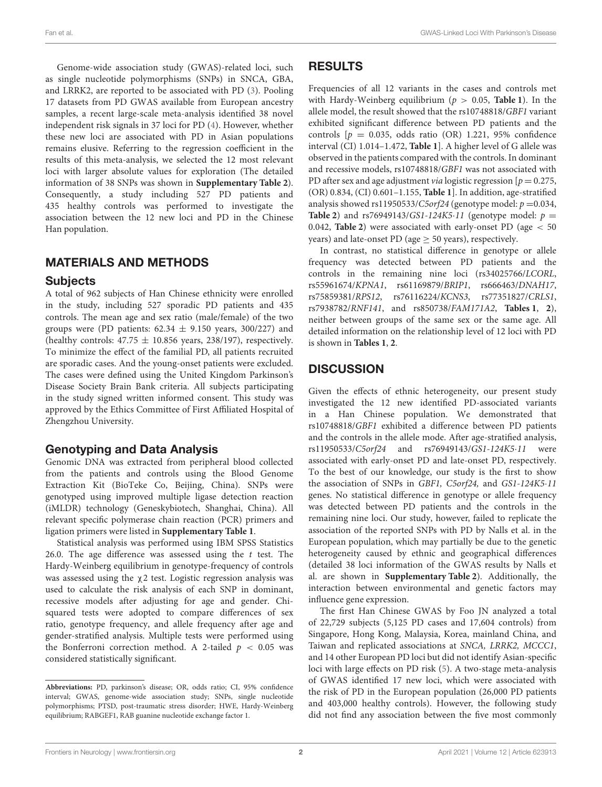Genome-wide association study (GWAS)-related loci, such as single nucleotide polymorphisms (SNPs) in SNCA, GBA, and LRRK2, are reported to be associated with PD [\(3\)](#page-6-2). Pooling 17 datasets from PD GWAS available from European ancestry samples, a recent large-scale meta-analysis identified 38 novel independent risk signals in 37 loci for PD [\(4\)](#page-6-3). However, whether these new loci are associated with PD in Asian populations remains elusive. Referring to the regression coefficient in the results of this meta-analysis, we selected the 12 most relevant loci with larger absolute values for exploration (The detailed information of 38 SNPs was shown in **[Supplementary Table 2](#page-5-0)**). Consequently, a study including 527 PD patients and 435 healthy controls was performed to investigate the association between the 12 new loci and PD in the Chinese Han population.

#### MATERIALS AND METHODS

#### **Subjects**

A total of 962 subjects of Han Chinese ethnicity were enrolled in the study, including 527 sporadic PD patients and 435 controls. The mean age and sex ratio (male/female) of the two groups were (PD patients:  $62.34 \pm 9.150$  years, 300/227) and (healthy controls:  $47.75 \pm 10.856$  years, 238/197), respectively. To minimize the effect of the familial PD, all patients recruited are sporadic cases. And the young-onset patients were excluded. The cases were defined using the United Kingdom Parkinson's Disease Society Brain Bank criteria. All subjects participating in the study signed written informed consent. This study was approved by the Ethics Committee of First Affiliated Hospital of Zhengzhou University.

#### Genotyping and Data Analysis

Genomic DNA was extracted from peripheral blood collected from the patients and controls using the Blood Genome Extraction Kit (BioTeke Co, Beijing, China). SNPs were genotyped using improved multiple ligase detection reaction (iMLDR) technology (Geneskybiotech, Shanghai, China). All relevant specific polymerase chain reaction (PCR) primers and ligation primers were listed in **[Supplementary Table 1](#page-5-0)**.

Statistical analysis was performed using IBM SPSS Statistics 26.0. The age difference was assessed using the  $t$  test. The Hardy-Weinberg equilibrium in genotype-frequency of controls was assessed using the χ2 test. Logistic regression analysis was used to calculate the risk analysis of each SNP in dominant, recessive models after adjusting for age and gender. Chisquared tests were adopted to compare differences of sex ratio, genotype frequency, and allele frequency after age and gender-stratified analysis. Multiple tests were performed using the Bonferroni correction method. A 2-tailed  $p < 0.05$  was considered statistically significant.

#### RESULTS

Frequencies of all 12 variants in the cases and controls met with Hardy-Weinberg equilibrium ( $p > 0.05$ , **[Table 1](#page-2-0)**). In the allele model, the result showed that the rs10748818/GBF1 variant exhibited significant difference between PD patients and the controls  $[p = 0.035, \text{ odds ratio (OR)} 1.221, 95\% \text{ confidence}$ interval (CI) 1.014–1.472, **[Table 1](#page-2-0)**]. A higher level of G allele was observed in the patients compared with the controls. In dominant and recessive models, rs10748818/GBF1 was not associated with PD after sex and age adjustment *via* logistic regression  $[p = 0.275,$ (OR) 0.834, (CI) 0.601–1.155, **[Table 1](#page-2-0)**]. In addition, age-stratified analysis showed rs11950533/C5orf24 (genotype model:  $p = 0.034$ , **[Table 2](#page-3-0)**) and rs76949143/GS1-124K5.11 (genotype model:  $p =$ 0.042, **[Table 2](#page-3-0)**) were associated with early-onset PD (age < 50 years) and late-onset PD (age  $\geq$  50 years), respectively.

In contrast, no statistical difference in genotype or allele frequency was detected between PD patients and the controls in the remaining nine loci (rs34025766/LCORL, rs55961674/KPNA1, rs61169879/BRIP1, rs666463/DNAH17, rs75859381/RPS12, rs76116224/KCNS3, rs77351827/CRLS1, rs7938782/RNF141, and rs850738/FAM171A2, **[Tables 1](#page-2-0)**, **[2](#page-3-0)**), neither between groups of the same sex or the same age. All detailed information on the relationship level of 12 loci with PD is shown in **[Tables 1](#page-2-0)**, **[2](#page-3-0)**.

### **DISCUSSION**

Given the effects of ethnic heterogeneity, our present study investigated the 12 new identified PD-associated variants in a Han Chinese population. We demonstrated that rs10748818/GBF1 exhibited a difference between PD patients and the controls in the allele mode. After age-stratified analysis, rs11950533/C5orf24 and rs76949143/GS1-124K5·11 were associated with early-onset PD and late-onset PD, respectively. To the best of our knowledge, our study is the first to show the association of SNPs in GBF1, C5orf24, and GS1-124K5·11 genes. No statistical difference in genotype or allele frequency was detected between PD patients and the controls in the remaining nine loci. Our study, however, failed to replicate the association of the reported SNPs with PD by Nalls et al. in the European population, which may partially be due to the genetic heterogeneity caused by ethnic and geographical differences (detailed 38 loci information of the GWAS results by Nalls et al. are shown in **[Supplementary Table 2](#page-5-0)**). Additionally, the interaction between environmental and genetic factors may influence gene expression.

The first Han Chinese GWAS by Foo JN analyzed a total of 22,729 subjects (5,125 PD cases and 17,604 controls) from Singapore, Hong Kong, Malaysia, Korea, mainland China, and Taiwan and replicated associations at SNCA, LRRK2, MCCC1, and 14 other European PD loci but did not identify Asian-specific loci with large effects on PD risk [\(5\)](#page-6-4). A two-stage meta-analysis of GWAS identified 17 new loci, which were associated with the risk of PD in the European population (26,000 PD patients and 403,000 healthy controls). However, the following study did not find any association between the five most commonly

**Abbreviations:** PD, parkinson's disease; OR, odds ratio; CI, 95% confidence interval; GWAS, genome-wide association study; SNPs, single nucleotide polymorphisms; PTSD, post-traumatic stress disorder; HWE, Hardy-Weinberg equilibrium; RABGEF1, RAB guanine nucleotide exchange factor 1.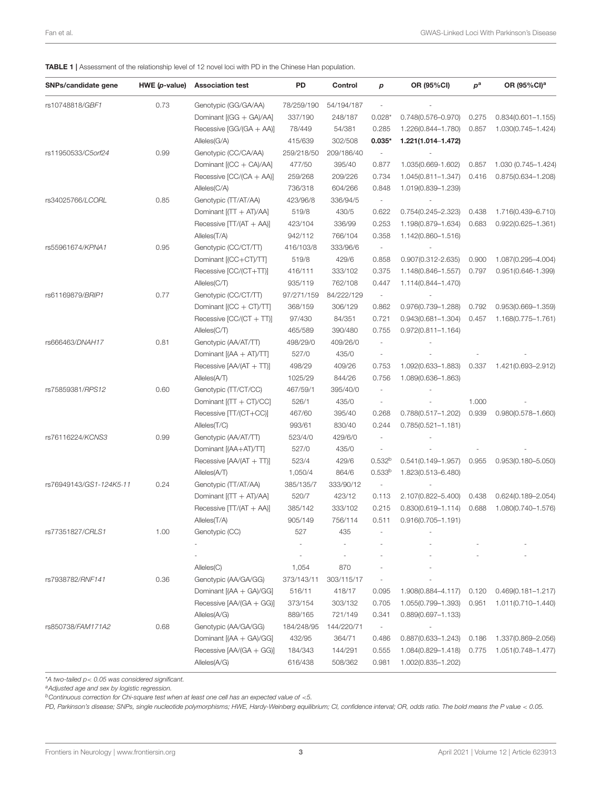<span id="page-2-0"></span>TABLE 1 | Assessment of the relationship level of 12 novel loci with PD in the Chinese Han population.

| SNPs/candidate gene     | HWE (p-value) | <b>Association test</b>      | PD         | Control    | p                        | OR (95%CI)             | $p^{\rm a}$ | OR (95%CI) <sup>a</sup> |
|-------------------------|---------------|------------------------------|------------|------------|--------------------------|------------------------|-------------|-------------------------|
| rs10748818/GBF1         | 0.73          | Genotypic (GG/GA/AA)         | 78/259/190 | 54/194/187 | $\overline{\phantom{a}}$ |                        |             |                         |
|                         |               | Dominant [(GG + GA)/AA]      | 337/190    | 248/187    | $0.028*$                 | $0.748(0.576 - 0.970)$ | 0.275       | $0.834(0.601 - 1.155)$  |
|                         |               | Recessive [GG/(GA + AA)]     | 78/449     | 54/381     | 0.285                    | 1.226(0.844-1.780)     | 0.857       | 1.030(0.745-1.424)      |
|                         |               | Alleles(G/A)                 | 415/639    | 302/508    | $0.035*$                 | 1.221(1.014-1.472)     |             |                         |
| rs11950533/C5orf24      | 0.99          | Genotypic (CC/CA/AA)         | 259/218/50 | 209/186/40 | $\overline{\phantom{a}}$ |                        |             |                         |
|                         |               | Dominant [(CC + CA)/AA]      | 477/50     | 395/40     | 0.877                    | 1.035(0.669-1.602)     | 0.857       | 1.030 (0.745-1.424)     |
|                         |               | Recessive [CC/(CA + AA)]     | 259/268    | 209/226    | 0.734                    | 1.045(0.811-1.347)     | 0.416       | $0.875(0.634 - 1.208)$  |
|                         |               | Alleles(C/A)                 | 736/318    | 604/266    | 0.848                    | 1.019(0.839-1.239)     |             |                         |
| rs34025766/LCORL        | 0.85          | Genotypic (TT/AT/AA)         | 423/96/8   | 336/94/5   | $\overline{\phantom{a}}$ |                        |             |                         |
|                         |               | Dominant $[(TT + AT)/AA]$    | 519/8      | 430/5      | 0.622                    | 0.754(0.245-2.323)     | 0.438       | 1.716(0.439-6.710)      |
|                         |               | Recessive $[TT/(AT + AA)]$   | 423/104    | 336/99     | 0.253                    | 1.198(0.879-1.634)     | 0.683       | $0.922(0.625 - 1.361)$  |
|                         |               | Alleles(T/A)                 | 942/112    | 766/104    | 0.358                    | 1.142(0.860-1.516)     |             |                         |
| rs55961674/KPNA1        | 0.95          | Genotypic (CC/CT/TT)         | 416/103/8  | 333/96/6   | $\overline{\phantom{a}}$ |                        |             |                         |
|                         |               | Dominant [(CC+CT)/TT]        | 519/8      | 429/6      | 0.858                    | 0.907(0.312-2.635)     | 0.900       | 1.087(0.295-4.004)      |
|                         |               | Recessive [CC/(CT+TT)]       | 416/111    | 333/102    | 0.375                    | 1.148(0.846-1.557)     | 0.797       | $0.951(0.646 - 1.399)$  |
|                         |               | Alleles(C/T)                 | 935/119    | 762/108    | 0.447                    | 1.114(0.844-1.470)     |             |                         |
| rs61169879/BRIP1        | 0.77          | Genotypic (CC/CT/TT)         | 97/271/159 | 84/222/129 | $\overline{\phantom{a}}$ |                        |             |                         |
|                         |               | Dominant $[(CC + CT)/TT]$    | 368/159    | 306/129    | 0.862                    | 0.976(0.739-1.288)     | 0.792       | $0.953(0.669 - 1.359)$  |
|                         |               | Recessive $[CC/(CT + TT)]$   | 97/430     | 84/351     | 0.721                    | $0.943(0.681 - 1.304)$ | 0.457       | 1.168(0.775-1.761)      |
|                         |               | Alleles(C/T)                 | 465/589    | 390/480    | 0.755                    | $0.972(0.811 - 1.164)$ |             |                         |
| rs666463/DNAH17         | 0.81          | Genotypic (AA/AT/TT)         | 498/29/0   | 409/26/0   | ×,                       |                        |             |                         |
|                         |               |                              |            |            | ÷,                       |                        |             |                         |
|                         |               | Dominant $[(AA + AT)/TT]$    | 527/0      | 435/0      |                          |                        |             |                         |
|                         |               | Recessive $[AA/(AT + TT)]$   | 498/29     | 409/26     | 0.753                    | 1.092(0.633-1.883)     | 0.337       | 1.421(0.693-2.912)      |
|                         |               | Alleles(A/T)                 | 1025/29    | 844/26     | 0.756                    | 1.089(0.636-1.863)     |             |                         |
| rs75859381/RPS12        | 0.60          | Genotypic (TT/CT/CC)         | 467/59/1   | 395/40/0   | $\overline{\phantom{a}}$ |                        |             |                         |
|                         |               | Dominant $[(TT + CT)/CC]$    | 526/1      | 435/0      | $\overline{\phantom{a}}$ |                        | 1.000       |                         |
|                         |               | Recessive [TT/(CT+CC)]       | 467/60     | 395/40     | 0.268                    | $0.788(0.517 - 1.202)$ | 0.939       | $0.980(0.578 - 1.660)$  |
|                         |               | Alleles(T/C)                 | 993/61     | 830/40     | 0.244                    | $0.785(0.521 - 1.181)$ |             |                         |
| rs76116224/KCNS3        | 0.99          | Genotypic (AA/AT/TT)         | 523/4/0    | 429/6/0    | ÷,                       |                        |             |                         |
|                         |               | Dominant [(AA+AT)/TT]        | 527/0      | 435/0      | ÷,                       |                        |             |                         |
|                         |               | Recessive $[AA/(AT + TT)]$   | 523/4      | 429/6      | $0.532^{b}$              | $0.541(0.149 - 1.957)$ | 0.955       | $0.953(0.180 - 5.050)$  |
|                         |               | Alleles(A/T)                 | 1,050/4    | 864/6      | 0.533 <sup>b</sup>       | 1.823(0.513-6.480)     |             |                         |
| rs76949143/GS1-124K5-11 | 0.24          | Genotypic (TT/AT/AA)         | 385/135/7  | 333/90/12  | $\overline{\phantom{a}}$ |                        |             |                         |
|                         |               | Dominant $[(TT + AT)/AA]$    | 520/7      | 423/12     | 0.113                    | 2.107(0.822-5.400)     | 0.438       | $0.624(0.189 - 2.054)$  |
|                         |               | Recessive $[TT/(AT + AA)]$   | 385/142    | 333/102    | 0.215                    | $0.830(0.619 - 1.114)$ | 0.688       | 1.080(0.740-1.576)      |
|                         |               | Alleles(T/A)                 | 905/149    | 756/114    | 0.511                    | $0.916(0.705 - 1.191)$ |             |                         |
| rs77351827/CRLS1        | 1.00          | Genotypic (CC)               | 527        | 435        |                          |                        |             |                         |
|                         |               |                              |            |            |                          |                        |             |                         |
|                         |               |                              |            |            |                          |                        |             |                         |
|                         |               | Alleles(C)                   | 1,054      | 870        |                          |                        |             |                         |
| rs7938782/RNF141        | 0.36          | Genotypic (AA/GA/GG)         | 373/143/11 | 303/115/17 |                          |                        |             |                         |
|                         |               | Dominant $[(AA + GA)/GG]$    | 516/11     | 418/17     | 0.095                    | 1.908(0.884-4.117)     | 0.120       | $0.469(0.181 - 1.217)$  |
|                         |               | Recessive [AA/(GA + GG)]     | 373/154    | 303/132    | 0.705                    | 1.055(0.799-1.393)     | 0.951       | 1.011(0.710-1.440)      |
|                         |               | Alleles(A/G)                 | 889/165    | 721/149    | 0.341                    | $0.889(0.697 - 1.133)$ |             |                         |
| rs850738/FAM171A2       | 0.68          | Genotypic (AA/GA/GG)         | 184/248/95 | 144/220/71 | $\overline{\phantom{a}}$ |                        |             |                         |
|                         |               | Dominant [(AA + GA)/GG]      | 432/95     | 364/71     | 0.486                    | $0.887(0.633 - 1.243)$ | 0.186       | 1.337(0.869-2.056)      |
|                         |               | Recessive [AA/(GA + GG)]     | 184/343    | 144/291    | 0.555                    | 1.084(0.829-1.418)     | 0.775       | 1.051(0.748-1.477)      |
|                         |               | $\text{Alleles}(\text{A/G})$ | 616/438    | 508/362    | 0.981                    | 1.002(0.835-1.202)     |             |                         |

\**A two-tailed p*< *0.05 was considered significant.*

*<sup>a</sup>Adjusted age and sex by logistic regression.*

*<sup>b</sup>Continuous correction for Chi-square test when at least one cell has an expected value of* <*5.*

*PD, Parkinson's disease; SNPs, single nucleotide polymorphisms; HWE, Hardy-Weinberg equilibrium; CI, confidence interval; OR, odds ratio. The bold means the P value* < *0.05.*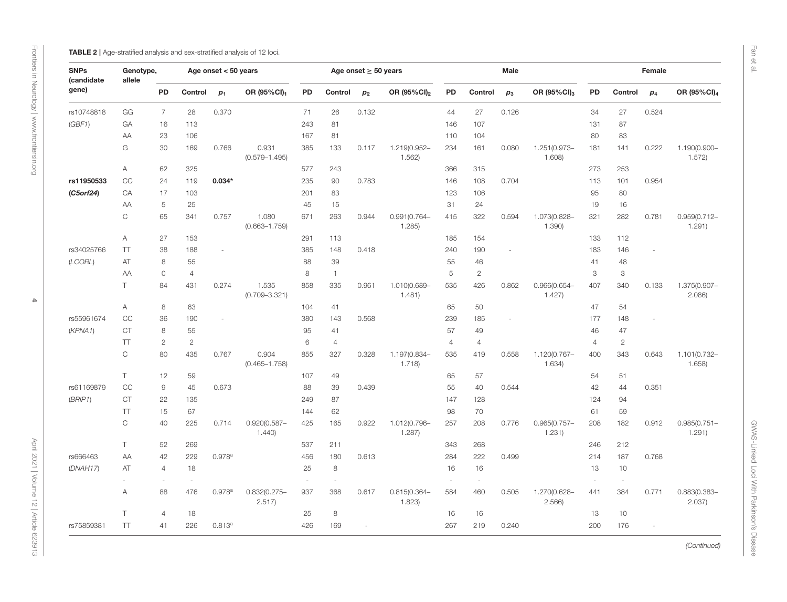<span id="page-3-0"></span>

| <b>ABLE 2</b>   Age-stratified analysis and sex-stratified analysis of 12 loc |  |  |  |  |
|-------------------------------------------------------------------------------|--|--|--|--|
|                                                                               |  |  |  |  |

| <b>SNPs</b><br>(candidate<br>gene) | Genotype,<br>allele |                |                | Age onset $< 50$ years |                            |                          |                | Age onset $\geq$ 50 years |                           | Male   |                          |       |                           | Female         |                           |                          |                           |  |
|------------------------------------|---------------------|----------------|----------------|------------------------|----------------------------|--------------------------|----------------|---------------------------|---------------------------|--------|--------------------------|-------|---------------------------|----------------|---------------------------|--------------------------|---------------------------|--|
|                                    |                     | PD             | Control        | $p_1$                  | OR (95%CI)1                | PD                       | Control        | p <sub>2</sub>            | OR (95%CI) <sub>2</sub>   | PD     | Control                  | $p_3$ | OR (95%CI) <sub>3</sub>   | PD             | Control                   | $p_4$                    | OR (95%CI) <sub>4</sub>   |  |
| rs10748818                         | GG                  | $\overline{7}$ | 28             | 0.370                  |                            | 71                       | 26             | 0.132                     |                           | 44     | 27                       | 0.126 |                           | 34             | 27                        | 0.524                    |                           |  |
| (GBF1)                             | GA                  | 16             | 113            |                        |                            | 243                      | 81             |                           |                           | 146    | 107                      |       |                           | 131            | 87                        |                          |                           |  |
|                                    | AA                  | 23             | 106            |                        |                            | 167                      | 81             |                           |                           | 110    | 104                      |       |                           | 80             | 83                        |                          |                           |  |
|                                    | G                   | 30             | 169            | 0.766                  | 0.931<br>$(0.579 - 1.495)$ | 385                      | 133            | 0.117                     | 1.219(0.952-<br>1.562     | 234    | 161                      | 0.080 | 1.251(0.973-<br>1.608)    | 181            | 141                       | 0.222                    | 1.190(0.900-<br>1.572)    |  |
|                                    | Α                   | 62             | 325            |                        |                            | 577                      | 243            |                           |                           | 366    | 315                      |       |                           | 273            | 253                       |                          |                           |  |
| rs11950533                         | CC                  | 24             | 119            | $0.034*$               |                            | 235                      | 90             | 0.783                     |                           | 146    | 108                      | 0.704 |                           | 113            | 101                       | 0.954                    |                           |  |
| (C5orf24)                          | CA                  | 17             | 103            |                        |                            | 201                      | 83             |                           |                           | 123    | 106                      |       |                           | 95             | 80                        |                          |                           |  |
| AA                                 |                     | 5              | 25             |                        |                            | 45                       | 15             |                           |                           | 31     | 24                       |       |                           | 19             | 16                        |                          |                           |  |
|                                    | C                   | 65             | 341            | 0.757                  | 1.080<br>$(0.663 - 1.759)$ | 671                      | 263            | 0.944                     | $0.991(0.764 -$<br>1.285  | 415    | 322                      | 0.594 | 1.073(0.828-<br>1.390     | 321            | 282                       | 0.781                    | $0.959(0.712 -$<br>1.291) |  |
|                                    | Α                   | 27             | 153            |                        |                            | 291                      | 113            |                           |                           | 185    | 154                      |       |                           | 133            | 112                       |                          |                           |  |
| rs34025766                         | $\top$              | 38             | 188            | ÷,                     |                            | 385                      | 148            | 0.418                     |                           | 240    | 190                      |       |                           | 183            | 146                       |                          |                           |  |
| (LCORL)                            | AT                  | $\,8\,$        | 55             |                        |                            | 88                       | 39             |                           |                           | 55     | 46                       |       |                           | 41             | 48                        |                          |                           |  |
|                                    | AΑ                  | $\mathsf O$    | $\overline{4}$ |                        |                            | $\,8\,$                  | $\mathbf{1}$   |                           |                           | 5      | $\overline{c}$           |       |                           | 3              | $\ensuremath{\mathsf{3}}$ |                          |                           |  |
|                                    | T.                  | 84             | 431            | 0.274                  | 1.535<br>$(0.709 - 3.321)$ | 858                      | 335            | 0.961                     | 1.010(0.689-<br>1.481)    | 535    | 426                      | 0.862 | $0.966(0.654 -$<br>1.427  | 407            | 340                       | 0.133                    | 1.375(0.907-<br>2.086     |  |
|                                    | Α                   | 8              | 63             |                        |                            | 104                      | 41             |                           |                           | 65     | 50                       |       |                           | 47             | 54                        |                          |                           |  |
| rs55961674                         | CC                  | 36             | 190            | ÷,                     |                            | 380                      | 143            | 0.568                     |                           | 239    | 185                      |       |                           | 177            | 148                       |                          |                           |  |
| (KPNA1)                            | <b>CT</b>           | 8              | 55             |                        |                            | 95                       | 41             |                           |                           | 57     | 49                       |       |                           | 46             | 47                        |                          |                           |  |
|                                    | TT                  | $\overline{c}$ | $\mathbf{2}$   |                        |                            | 6                        | $\overline{4}$ |                           |                           | 4      | 4                        |       |                           | $\overline{4}$ | $\mathbf{2}$              |                          |                           |  |
|                                    | $\mathsf C$         | 80             | 435            | 0.767                  | 0.904<br>$(0.465 - 1.758)$ | 855                      | 327            | 0.328                     | 1.197(0.834-<br>1.718     | 535    | 419                      | 0.558 | 1.120(0.767-<br>1.634)    | 400            | 343                       | 0.643                    | 1.101(0.732-<br>1.658)    |  |
|                                    | T                   | 12             | 59             |                        |                            | 107                      | 49             |                           |                           | 65     | 57                       |       |                           | 54             | 51                        |                          |                           |  |
| rs61169879                         | CC                  | 9              | 45             | 0.673                  |                            | 88                       | 39             | 0.439                     |                           | 55     | 40                       | 0.544 |                           | 42             | 44                        | 0.351                    |                           |  |
| (BRIP1)                            | <b>CT</b>           | 22             | 135            |                        |                            | 249                      | 87             |                           |                           | 147    | 128                      |       |                           | 124            | 94                        |                          |                           |  |
|                                    | $\top$              | 15             | 67             |                        |                            | 144                      | 62             |                           |                           | 98     | 70                       |       |                           | 61             | 59                        |                          |                           |  |
|                                    | $\mathsf{C}$        | 40             | 225            | 0.714                  | $0.920(0.587 -$<br>1.440   | 425                      | 165            | 0.922                     | 1.012(0.796-<br>1.287)    | 257    | 208                      | 0.776 | $0.965(0.757 -$<br>1.231) | 208            | 182                       | 0.912                    | $0.985(0.751 -$<br>1.291) |  |
|                                    | T.                  | 52             | 269            |                        |                            | 537                      | 211            |                           |                           | 343    | 268                      |       |                           | 246            | 212                       |                          |                           |  |
| rs666463                           | AA                  | 42             | 229            | $0.978$ <sup>a</sup>   |                            | 456                      | 180            | 0.613                     |                           | 284    | 222                      | 0.499 |                           | 214            | 187                       | 0.768                    |                           |  |
| (DNAH17)                           | AT                  | $\overline{4}$ | 18             |                        |                            | 25                       | $\,8\,$        |                           |                           | 16     | 16                       |       |                           | 13             | 10                        |                          |                           |  |
|                                    |                     | $\bar{a}$      | $\bar{a}$      |                        |                            | $\overline{\phantom{a}}$ | $\sim$         |                           |                           | $\sim$ | $\overline{\phantom{a}}$ |       |                           | ÷.             | ÷,                        |                          |                           |  |
|                                    | Α                   | 88             | 476            | $0.978$ <sup>a</sup>   | $0.832(0.275 -$<br>2.517)  | 937                      | 368            | 0.617                     | $0.815(0.364 -$<br>1.823) | 584    | 460                      | 0.505 | 1.270(0.628-<br>2.566     | 441            | 384                       | 0.771                    | 0.883(0.383-<br>2.037)    |  |
|                                    | T.                  | $\overline{4}$ | 18             |                        |                            | 25                       | $\,8\,$        |                           |                           | 16     | 16                       |       |                           | 13             | 10                        |                          |                           |  |
| rs75859381                         | $\top$              | 41             | 226            | $0.813^{a}$            |                            | 426                      | 169            | ÷,                        |                           | 267    | 219                      | 0.240 |                           | 200            | 176                       | $\overline{\phantom{a}}$ |                           |  |

Fan et al.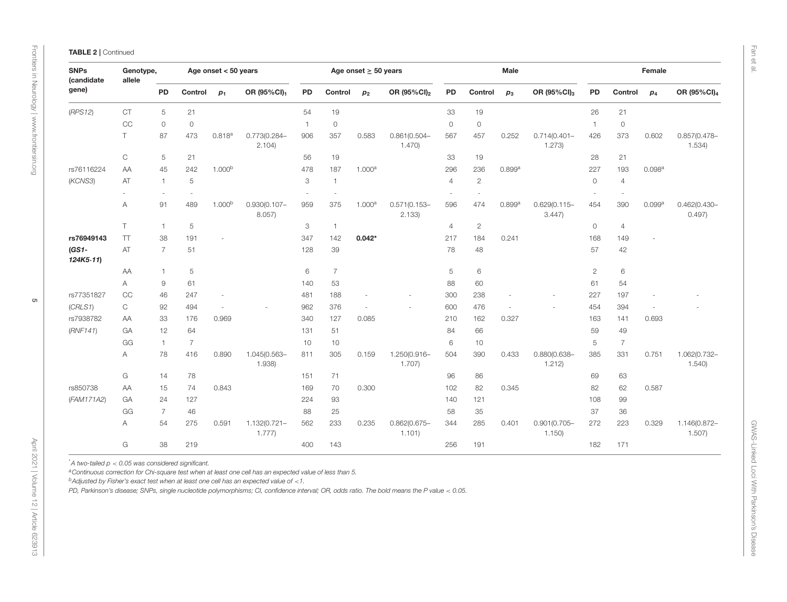| <b>SNPs</b><br>(candidate<br>gene) | Genotype,<br>allele       |                |                | Age onset $< 50$ years   |                           |                           |                | Age onset $\geq$ 50 years |                           |                          |                | Male                     |                           |                |                          | Female |                           |
|------------------------------------|---------------------------|----------------|----------------|--------------------------|---------------------------|---------------------------|----------------|---------------------------|---------------------------|--------------------------|----------------|--------------------------|---------------------------|----------------|--------------------------|--------|---------------------------|
|                                    |                           | PD             | Control        | $p_1$                    | OR (95%CI)1               | PD                        | Control        | p <sub>2</sub>            | OR (95%CI) <sub>2</sub>   | PD                       | Control        | $p_3$                    | OR (95%CI) <sub>3</sub>   | PD             | Control                  | $p_4$  | OR (95%CI) <sub>4</sub>   |
| (RPS12)                            | <b>CT</b>                 | 5              | 21             |                          |                           | 54                        | 19             |                           |                           | 33                       | 19             |                          |                           | 26             | 21                       |        |                           |
|                                    | CC                        | $\circ$        | $\mathbb O$    |                          |                           | $\overline{1}$            | $\circledcirc$ |                           |                           | $\mathbb O$              | $\circ$        |                          |                           | $\overline{1}$ | $\circ$                  |        |                           |
|                                    | $\top$                    | 87             | 473            | $0.818^{a}$              | 0.773(0.284-<br>2.104)    | 906                       | 357            | 0.583                     | $0.861(0.504 -$<br>1.470  | 567                      | 457            | 0.252                    | $0.714(0.401 -$<br>1.273) | 426            | 373                      | 0.602  | $0.857(0.478 -$<br>1.534) |
|                                    | $\mathop{\rm C}\nolimits$ | 5              | 21             |                          |                           | 56                        | 19             |                           |                           | 33                       | 19             |                          |                           | 28             | 21                       |        |                           |
| rs76116224                         | AA                        | 45             | 242            | 1.000 <sup>b</sup>       |                           | 478                       | 187            | 1.000a                    |                           | 296                      | 236            | 0.899a                   |                           | 227            | 193                      | 0.098a |                           |
| (KCNS3)                            | AT                        | $\mathbf{1}$   | 5              |                          |                           | 3                         | $\overline{1}$ |                           |                           | $\overline{4}$           | $\overline{c}$ |                          |                           | 0              | $\overline{4}$           |        |                           |
|                                    | ×.                        | $\sim$         | $\sim$         |                          |                           | ÷,                        | ÷,             |                           |                           | $\overline{\phantom{a}}$ | ÷.             |                          |                           | $\sim$         | $\overline{\phantom{a}}$ |        |                           |
|                                    | $\overline{A}$            | 91             | 489            | 1.000 <sup>b</sup>       | $0.930(0.107 -$<br>8.057) | 959                       | 375            | 1.000 <sup>a</sup>        | $0.571(0.153 -$<br>2.133  | 596                      | 474            | 0.899a                   | $0.629(0.115 -$<br>3.447  | 454            | 390                      | 0.099a | $0.462(0.430 -$<br>0.497) |
|                                    | T.                        | $\mathbf{1}$   | 5              |                          |                           | $\ensuremath{\mathsf{3}}$ | $\overline{1}$ |                           |                           | $\overline{4}$           | $\overline{2}$ |                          |                           | 0              | $\overline{4}$           |        |                           |
| rs76949143                         | $\top$                    | 38             | 191            | ÷,                       |                           | 347                       | 142            | $0.042*$                  |                           | 217                      | 184            | 0.241                    |                           | 168            | 149                      |        |                           |
| $(GS1 -$<br>124K5.11               | AT                        | $\overline{7}$ | 51             |                          |                           | 128                       | 39             |                           |                           | 78                       | 48             |                          |                           | 57             | 42                       |        |                           |
|                                    | AA                        | $\mathbf{1}$   | 5              |                          |                           | 6                         | $\overline{7}$ |                           |                           | 5                        | 6              |                          |                           | $\overline{c}$ | 6                        |        |                           |
|                                    | A                         | 9              | 61             |                          |                           | 140                       | 53             |                           |                           | 88                       | 60             |                          |                           | 61             | 54                       |        |                           |
| rs77351827                         | CC                        | 46             | 247            | $\overline{\phantom{a}}$ |                           | 481                       | 188            | $\overline{\phantom{a}}$  | ÷,                        | 300                      | 238            | ÷,                       |                           | 227            | 197                      |        |                           |
| (CRLS1)                            | $\mathsf C$               | 92             | 494            | $\sim$                   |                           | 962                       | 376            | $\sim$                    |                           | 600                      | 476            | $\overline{\phantom{a}}$ |                           | 454            | 394                      |        |                           |
| rs7938782                          | AA                        | 33             | 176            | 0.969                    |                           | 340                       | 127            | 0.085                     |                           | 210                      | 162            | 0.327                    |                           | 163            | 141                      | 0.693  |                           |
| (RNF141)                           | GA                        | 12             | 64             |                          |                           | 131                       | 51             |                           |                           | 84                       | 66             |                          |                           | 59             | 49                       |        |                           |
|                                    | GG                        | $\mathbf{1}$   | $\overline{7}$ |                          |                           | 10                        | 10             |                           |                           | 6                        | 10             |                          |                           | 5              | $\overline{7}$           |        |                           |
|                                    | A                         | 78             | 416            | 0.890                    | 1.045(0.563-<br>1.938)    | 811                       | 305            | 0.159                     | 1.250(0.916-<br>1.707)    | 504                      | 390            | 0.433                    | $0.880(0.638 -$<br>1.212) | 385            | 331                      | 0.751  | 1.062(0.732-<br>1.540     |
|                                    | G                         | 14             | 78             |                          |                           | 151                       | 71             |                           |                           | 96                       | 86             |                          |                           | 69             | 63                       |        |                           |
| rs850738                           | AA                        | 15             | 74             | 0.843                    |                           | 169                       | 70             | 0.300                     |                           | 102                      | 82             | 0.345                    |                           | 82             | 62                       | 0.587  |                           |
| (FAM171A2)                         | GA                        | 24             | 127            |                          |                           | 224                       | 93             |                           |                           | 140                      | 121            |                          |                           | 108            | 99                       |        |                           |
|                                    | GG                        | $\overline{7}$ | 46             |                          |                           | 88                        | 25             |                           |                           | 58                       | 35             |                          |                           | 37             | 36                       |        |                           |
|                                    | $\overline{A}$            | 54             | 275            | 0.591                    | 1.132(0.721-<br>1.777     | 562                       | 233            | 0.235                     | $0.862(0.675 -$<br>1.101) | 344                      | 285            | 0.401                    | $0.901(0.705 -$<br>1.150  | 272            | 223                      | 0.329  | 1.146(0.872-<br>1.507     |
|                                    | G                         | 38             | 219            |                          |                           | 400                       | 143            |                           |                           | 256                      | 191            |                          |                           | 182            | 171                      |        |                           |

Fan et al.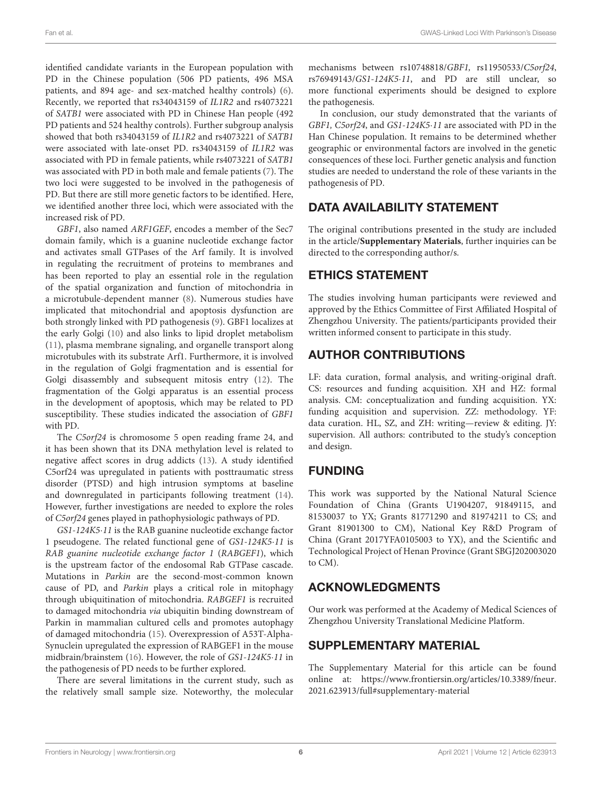identified candidate variants in the European population with PD in the Chinese population (506 PD patients, 496 MSA patients, and 894 age- and sex-matched healthy controls) [\(6\)](#page-6-5). Recently, we reported that rs34043159 of IL1R2 and rs4073221 of SATB1 were associated with PD in Chinese Han people (492 PD patients and 524 healthy controls). Further subgroup analysis showed that both rs34043159 of IL1R2 and rs4073221 of SATB1 were associated with late-onset PD. rs34043159 of IL1R2 was associated with PD in female patients, while rs4073221 of SATB1 was associated with PD in both male and female patients [\(7\)](#page-6-6). The two loci were suggested to be involved in the pathogenesis of PD. But there are still more genetic factors to be identified. Here, we identified another three loci, which were associated with the increased risk of PD.

GBF1, also named ARF1GEF, encodes a member of the Sec7 domain family, which is a guanine nucleotide exchange factor and activates small GTPases of the Arf family. It is involved in regulating the recruitment of proteins to membranes and has been reported to play an essential role in the regulation of the spatial organization and function of mitochondria in a microtubule-dependent manner [\(8\)](#page-6-7). Numerous studies have implicated that mitochondrial and apoptosis dysfunction are both strongly linked with PD pathogenesis [\(9\)](#page-6-8). GBF1 localizes at the early Golgi [\(10\)](#page-6-9) and also links to lipid droplet metabolism [\(11\)](#page-6-10), plasma membrane signaling, and organelle transport along microtubules with its substrate Arf1. Furthermore, it is involved in the regulation of Golgi fragmentation and is essential for Golgi disassembly and subsequent mitosis entry [\(12\)](#page-6-11). The fragmentation of the Golgi apparatus is an essential process in the development of apoptosis, which may be related to PD susceptibility. These studies indicated the association of GBF1 with PD.

The C5orf24 is chromosome 5 open reading frame 24, and it has been shown that its DNA methylation level is related to negative affect scores in drug addicts [\(13\)](#page-6-12). A study identified C5orf24 was upregulated in patients with posttraumatic stress disorder (PTSD) and high intrusion symptoms at baseline and downregulated in participants following treatment [\(14\)](#page-6-13). However, further investigations are needed to explore the roles of C5orf24 genes played in pathophysiologic pathways of PD.

GS1-124K5·11 is the RAB guanine nucleotide exchange factor 1 pseudogene. The related functional gene of GS1-124K5·11 is RAB guanine nucleotide exchange factor 1 (RABGEF1), which is the upstream factor of the endosomal Rab GTPase cascade. Mutations in Parkin are the second-most-common known cause of PD, and Parkin plays a critical role in mitophagy through ubiquitination of mitochondria. RABGEF1 is recruited to damaged mitochondria via ubiquitin binding downstream of Parkin in mammalian cultured cells and promotes autophagy of damaged mitochondria [\(15\)](#page-6-14). Overexpression of A53T-Alpha-Synuclein upregulated the expression of RABGEF1 in the mouse midbrain/brainstem [\(16\)](#page-6-15). However, the role of GS1-124K5·11 in the pathogenesis of PD needs to be further explored.

There are several limitations in the current study, such as the relatively small sample size. Noteworthy, the molecular mechanisms between rs10748818/GBF1, rs11950533/C5orf24, rs76949143/GS1-124K5·11, and PD are still unclear, so more functional experiments should be designed to explore the pathogenesis.

In conclusion, our study demonstrated that the variants of GBF1, C5orf24, and GS1-124K5·11 are associated with PD in the Han Chinese population. It remains to be determined whether geographic or environmental factors are involved in the genetic consequences of these loci. Further genetic analysis and function studies are needed to understand the role of these variants in the pathogenesis of PD.

# DATA AVAILABILITY STATEMENT

The original contributions presented in the study are included in the article/**[Supplementary Materials](#page-5-0)**, further inquiries can be directed to the corresponding author/s.

### ETHICS STATEMENT

The studies involving human participants were reviewed and approved by the Ethics Committee of First Affiliated Hospital of Zhengzhou University. The patients/participants provided their written informed consent to participate in this study.

# AUTHOR CONTRIBUTIONS

LF: data curation, formal analysis, and writing-original draft. CS: resources and funding acquisition. XH and HZ: formal analysis. CM: conceptualization and funding acquisition. YX: funding acquisition and supervision. ZZ: methodology. YF: data curation. HL, SZ, and ZH: writing—review & editing. JY: supervision. All authors: contributed to the study's conception and design.

# FUNDING

This work was supported by the National Natural Science Foundation of China (Grants U1904207, 91849115, and 81530037 to YX; Grants 81771290 and 81974211 to CS; and Grant 81901300 to CM), National Key R&D Program of China (Grant 2017YFA0105003 to YX), and the Scientific and Technological Project of Henan Province (Grant SBGJ202003020 to CM).

# ACKNOWLEDGMENTS

Our work was performed at the Academy of Medical Sciences of Zhengzhou University Translational Medicine Platform.

# SUPPLEMENTARY MATERIAL

<span id="page-5-0"></span>The Supplementary Material for this article can be found [online at: https://www.frontiersin.org/articles/10.3389/fneur.](https://www.frontiersin.org/articles/10.3389/fneur.2021.623913/full#supplementary-material) 2021.623913/full#supplementary-material